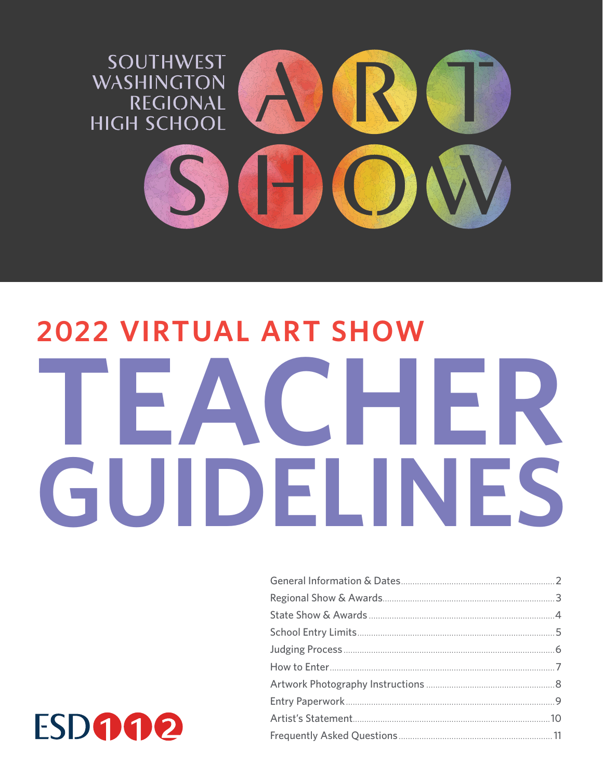

# **2022 VIRTUAL ART SHOW** TEACHER GUIDELINES

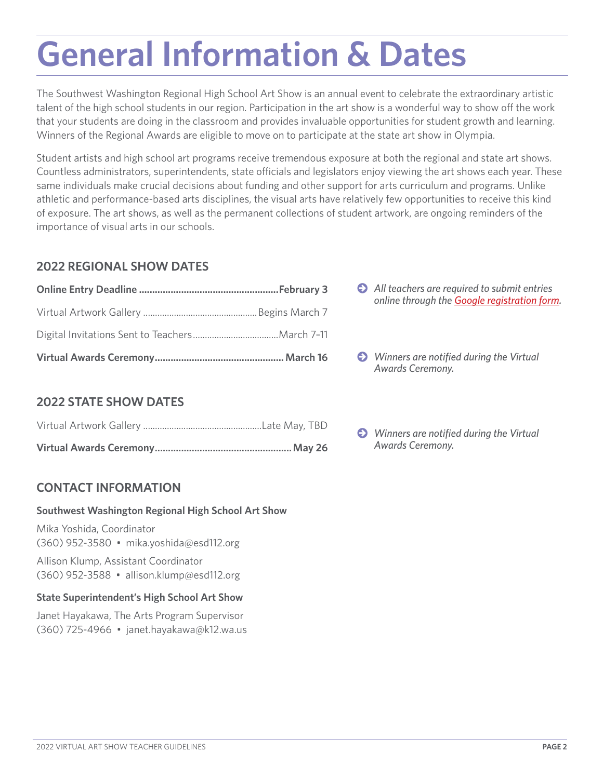### **General Information & Dates**

The Southwest Washington Regional High School Art Show is an annual event to celebrate the extraordinary artistic talent of the high school students in our region. Participation in the art show is a wonderful way to show off the work that your students are doing in the classroom and provides invaluable opportunities for student growth and learning. Winners of the Regional Awards are eligible to move on to participate at the state art show in Olympia.

Student artists and high school art programs receive tremendous exposure at both the regional and state art shows. Countless administrators, superintendents, state officials and legislators enjoy viewing the art shows each year. These same individuals make crucial decisions about funding and other support for arts curriculum and programs. Unlike athletic and performance-based arts disciplines, the visual arts have relatively few opportunities to receive this kind of exposure. The art shows, as well as the permanent collections of student artwork, are ongoing reminders of the importance of visual arts in our schools.

### **2022 REGIONAL SHOW DATES**

### **2022 STATE SHOW DATES**

### **CONTACT INFORMATION**

#### **Southwest Washington Regional High School Art Show**

Mika Yoshida, Coordinator (360) 952-3580 • [mika.yoshida@esd112.org](mailto:mika.yoshida@esd112.org)

Allison Klump, Assistant Coordinator (360) 952-3588 • [allison.klump@esd112.org](mailto:allison.klump@esd112.org) 

### **State Superintendent's High School Art Show**

Janet Hayakawa, The Arts Program Supervisor (360) 725-4966 • [janet.hayakawa@k12.wa.us](mailto:janet.hayakawa@k12.wa.us) 

- **O** All teachers are required to submit entries *online through the [Google registration form](https://docs.google.com/forms/d/e/1FAIpQLSeAhNrSdc0owWrILF7gWItoWA_yXybAz6GK8kunLO7M2cKxFA/viewform).*
- $\bullet$  Winners are notified during the Virtual *Awards Ceremony.*
- *Winners are notifed during the Virtual*  **Virtual Awards Ceremony** *Awards Ceremony.* **....................................................May 26**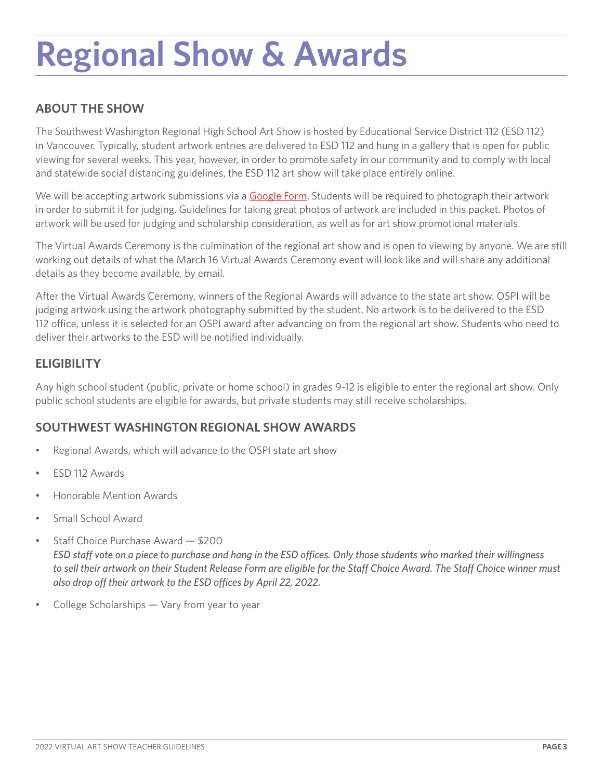### **Regional Show & Awards**

### **ABOUT THE SHOW**

The Southwest Washington Regional High School Art Show is hosted by Educational Service District 112 (ESD 112) in Vancouver. Typically, student artwork entries are delivered to ESD 112 and hung in a gallery that is open for public viewing for several weeks. This year, however, in order to promote safety in our community and to comply with local and statewide social distancing guidelines, the ESD 112 art show will take place entirely online.

We will be accepting artwork submissions via a [Google Form.](https://docs.google.com/forms/d/e/1FAIpQLSeAhNrSdc0owWrILF7gWItoWA_yXybAz6GK8kunLO7M2cKxFA/viewform) Students will be required to photograph their artwork in order to submit it for judging. Guidelines for taking great photos of artwork are included in this packet. Photos of artwork will be used for judging and scholarship consideration, as well as for art show promotional materials.

The Virtual Awards Ceremony is the culmination of the regional art show and is open to viewing by anyone. We are still working out details of what the March 16 Virtual Awards Ceremony event will look like and will share any additional details as they become available, by email.

After the Virtual Awards Ceremony, winners of the Regional Awards will advance to the state art show. OSPI will be judging artwork using the artwork photography submitted by the student. No artwork is to be delivered to the ESD 112 office, unless it is selected for an OSPI award after advancing on from the regional art show. Students who need to deliver their artworks to the ESD will be notifed individually.

### **ELIGIBILITY**

Any high school student (public, private or home school) in grades 9-12 is eligible to enter the regional art show. Only public school students are eligible for awards, but private students may still receive scholarships.

### **SOUTHWEST WASHINGTON REGIONAL SHOW AWARDS**

- Regional Awards, which will advance to the OSPI state art show
- ESD 112 Awards
- Honorable Mention Awards
- Small School Award
- Staff Choice Purchase Award  $-$  \$200 *ESD staff vote on a piece to purchase and hang in the ESD offices. Only those students who marked their willingness* to sell their artwork on their Student Release Form are eligible for the Staff Choice Award. The Staff Choice winner must also drop off their artwork to the ESD offices by April 22, 2022.
- College Scholarships Vary from year to year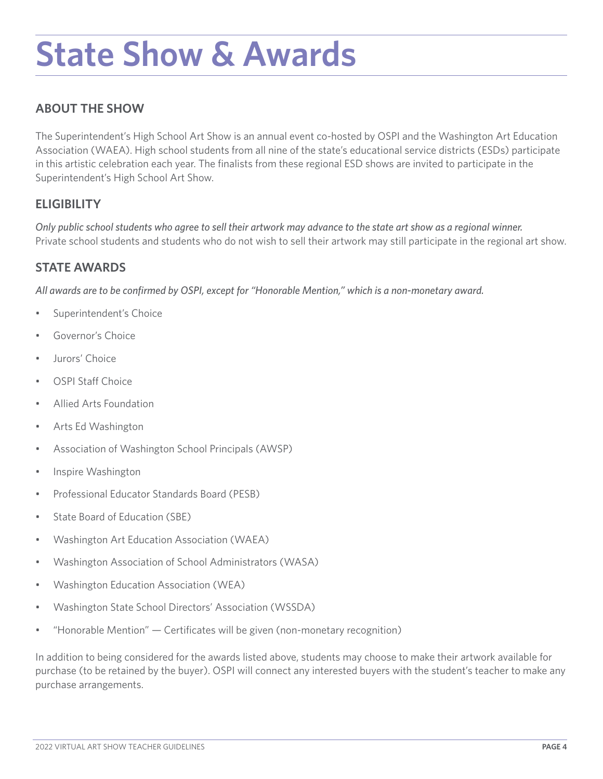### **State Show & Awards**

### **ABOUT THE SHOW**

The Superintendent's High School Art Show is an annual event co-hosted by OSPI and the Washington Art Education Association (WAEA). High school students from all nine of the state's educational service districts (ESDs) participate in this artistic celebration each year. The fnalists from these regional ESD shows are invited to participate in the Superintendent's High School Art Show.

### **ELIGIBILITY**

 *Only public school students who agree to sell their artwork may advance to the state art show as a regional winner.* Private school students and students who do not wish to sell their artwork may still participate in the regional art show.

### **STATE AWARDS**

*All awards are to be confrmed by OSPI, except for "Honorable Mention," which is a non-monetary award.* 

- Superintendent's Choice
- Governor's Choice
- Jurors' Choice
- OSPI Staff Choice
- Allied Arts Foundation
- Arts Ed Washington
- Association of Washington School Principals (AWSP)
- Inspire Washington
- Professional Educator Standards Board (PESB)
- State Board of Education (SBE)
- Washington Art Education Association (WAEA)
- Washington Association of School Administrators (WASA)
- Washington Education Association (WEA)
- Washington State School Directors' Association (WSSDA)
- "Honorable Mention" Certifcates will be given (non-monetary recognition)

In addition to being considered for the awards listed above, students may choose to make their artwork available for purchase (to be retained by the buyer). OSPI will connect any interested buyers with the student's teacher to make any purchase arrangements.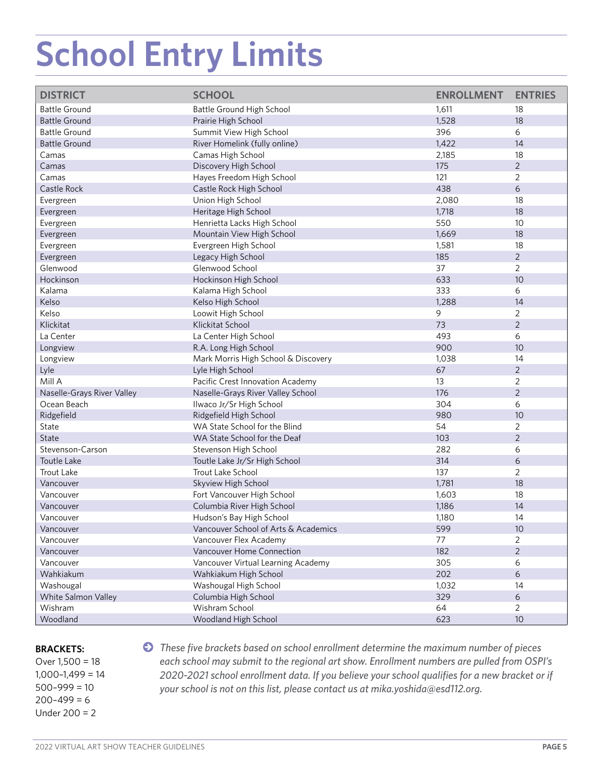# **School Entry Limits**

| <b>DISTRICT</b>            | <b>SCHOOL</b>                        | <b>ENROLLMENT</b> | <b>ENTRIES</b>  |
|----------------------------|--------------------------------------|-------------------|-----------------|
| <b>Battle Ground</b>       | Battle Ground High School            | 1,611             | 18              |
| <b>Battle Ground</b>       | Prairie High School                  | 1,528             | 18              |
| <b>Battle Ground</b>       | Summit View High School              | 396               | 6               |
| <b>Battle Ground</b>       | River Homelink (fully online)        | 1,422             | 14              |
| Camas                      | Camas High School                    | 2,185             | 18              |
| Camas                      | Discovery High School                | 175               | $\overline{2}$  |
| Camas                      | Hayes Freedom High School            | 121               | $\overline{2}$  |
| Castle Rock                | Castle Rock High School              | 438               | 6               |
| Evergreen                  | Union High School                    | 2,080             | 18              |
| Evergreen                  | Heritage High School                 | 1,718             | 18              |
|                            |                                      | 550               |                 |
| Evergreen                  | Henrietta Lacks High School          |                   | 10              |
| Evergreen                  | Mountain View High School            | 1,669             | 18              |
| Evergreen                  | Evergreen High School                | 1,581             | 18              |
| Evergreen                  | Legacy High School                   | 185               | $\overline{2}$  |
| Glenwood                   | Glenwood School                      | 37                | $\overline{2}$  |
| Hockinson                  | Hockinson High School                | 633               | 10              |
| Kalama                     | Kalama High School                   | 333               | 6               |
| Kelso                      | Kelso High School                    | 1,288             | 14              |
| Kelso                      | Loowit High School                   | 9                 | $\overline{2}$  |
| Klickitat                  | Klickitat School                     | 73                | $\overline{2}$  |
| La Center                  | La Center High School                | 493               | 6               |
| Longview                   | R.A. Long High School                | 900               | 10              |
| Longview                   | Mark Morris High School & Discovery  | 1,038             | 14              |
| Lyle                       | Lyle High School                     | 67                | $\overline{2}$  |
| Mill A                     | Pacific Crest Innovation Academy     | 13                | 2               |
| Naselle-Grays River Valley | Naselle-Grays River Valley School    | 176               | $\overline{2}$  |
| Ocean Beach                | Ilwaco Jr/Sr High School             | 304               | 6               |
| Ridgefield                 | Ridgefield High School               | 980               | 10              |
| State                      | WA State School for the Blind        | 54                | $\overline{2}$  |
| State                      | WA State School for the Deaf         | 103               | $\overline{2}$  |
| Stevenson-Carson           | Stevenson High School                | 282               | 6               |
| Toutle Lake                | Toutle Lake Jr/Sr High School        | 314               | 6               |
| <b>Trout Lake</b>          | Trout Lake School                    | 137               | $\overline{2}$  |
|                            |                                      |                   |                 |
| Vancouver                  | Skyview High School                  | 1,781             | 18              |
| Vancouver                  | Fort Vancouver High School           | 1,603             | 18              |
| Vancouver                  | Columbia River High School           | 1,186             | 14              |
| Vancouver                  | Hudson's Bay High School             | 1,180             | 14              |
| Vancouver                  | Vancouver School of Arts & Academics | 599               | 10 <sup>°</sup> |
| Vancouver                  | Vancouver Flex Academy               | 77                | $\overline{2}$  |
| Vancouver                  | Vancouver Home Connection            | 182               | $\overline{2}$  |
| Vancouver                  | Vancouver Virtual Learning Academy   | 305               | 6               |
| Wahkiakum                  | Wahkiakum High School                | 202               | 6               |
| Washougal                  | Washougal High School                | 1,032             | 14              |
| White Salmon Valley        | Columbia High School                 | 329               | $6\phantom{a}$  |
| Wishram                    | Wishram School                       | 64                | $\overline{2}$  |
| Woodland                   | Woodland High School                 | 623               | 10              |

 $200 - 499 = 6$ Under 200 = 2

**BRACKETS: •• C** *These five brackets based on school enrollment determine the maximum number of pieces* Over 1,500 = 18 *each school may submit to the regional art show. Enrollment numbers are pulled from OSPI's*  1,000–1,499 = 14 *2020-2021 school enrollment data. If you believe your school qualifes for a new bracket or if*  500–999 = 10 *your school is not on this list, please contact us at [mika.yoshida@esd112.org](mailto:mika.yoshida@esd112.org).*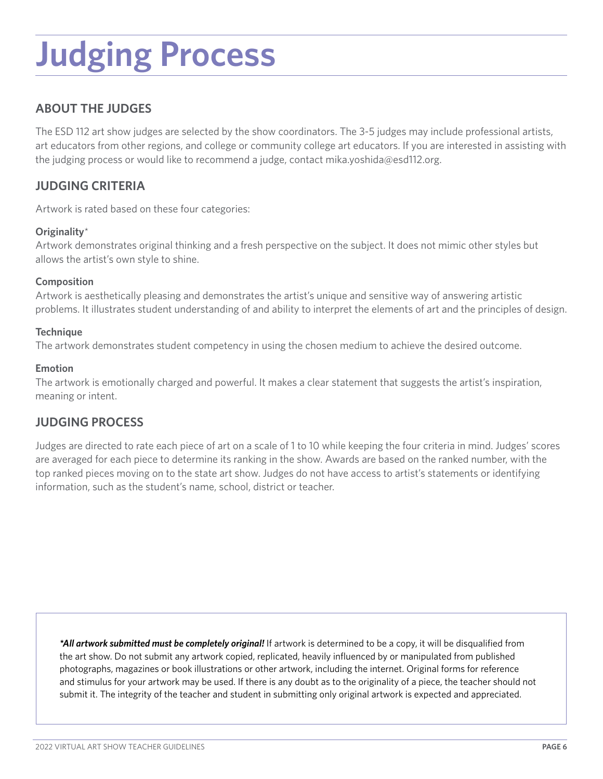### **Judging Process**

### **ABOUT THE JUDGES**

The ESD 112 art show judges are selected by the show coordinators. The 3-5 judges may include professional artists, art educators from other regions, and college or community college art educators. If you are interested in assisting with the judging process or would like to recommend a judge, contact [mika.yoshida@esd112.org](mailto:mika.yoshida@esd112.org).

### **JUDGING CRITERIA**

Artwork is rated based on these four categories:

#### **Originality**\*

Artwork demonstrates original thinking and a fresh perspective on the subject. It does not mimic other styles but allows the artist's own style to shine.

#### **Composition**

Artwork is aesthetically pleasing and demonstrates the artist's unique and sensitive way of answering artistic problems. It illustrates student understanding of and ability to interpret the elements of art and the principles of design.

#### **Technique**

The artwork demonstrates student competency in using the chosen medium to achieve the desired outcome.

#### **Emotion**

The artwork is emotionally charged and powerful. It makes a clear statement that suggests the artist's inspiration, meaning or intent.

### **JUDGING PROCESS**

Judges are directed to rate each piece of art on a scale of 1 to 10 while keeping the four criteria in mind. Judges' scores are averaged for each piece to determine its ranking in the show. Awards are based on the ranked number, with the top ranked pieces moving on to the state art show. Judges do not have access to artist's statements or identifying information, such as the student's name, school, district or teacher.

*\*All artwork submitted must be completely original!* If artwork is determined to be a copy, it will be disqualifed from the art show. Do not submit any artwork copied, replicated, heavily infuenced by or manipulated from published photographs, magazines or book illustrations or other artwork, including the internet. Original forms for reference and stimulus for your artwork may be used. If there is any doubt as to the originality of a piece, the teacher should not submit it. The integrity of the teacher and student in submitting only original artwork is expected and appreciated.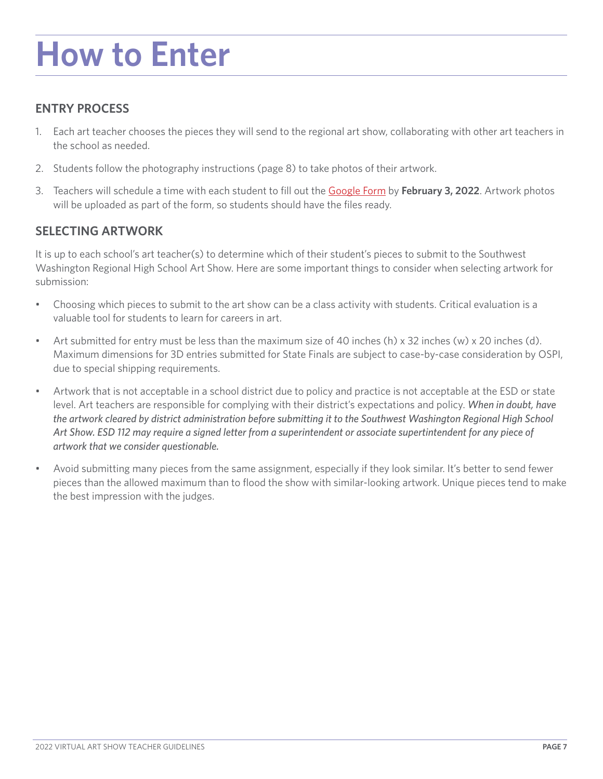### **How to Enter**

### **ENTRY PROCESS**

- 1. Each art teacher chooses the pieces they will send to the regional art show, collaborating with other art teachers in the school as needed.
- 2. Students follow the photography instructions (page 8) to take photos of their artwork.
- 3. Teachers will schedule a time with each student to fll out the [Google Form](https://docs.google.com/forms/d/e/1FAIpQLSeAhNrSdc0owWrILF7gWItoWA_yXybAz6GK8kunLO7M2cKxFA/viewform) by **February 3, 2022**. Artwork photos will be uploaded as part of the form, so students should have the files ready.

### **SELECTING ARTWORK**

It is up to each school's art teacher(s) to determine which of their student's pieces to submit to the Southwest Washington Regional High School Art Show. Here are some important things to consider when selecting artwork for submission:

- Choosing which pieces to submit to the art show can be a class activity with students. Critical evaluation is a valuable tool for students to learn for careers in art.
- Art submitted for entry must be less than the maximum size of 40 inches (h) x 32 inches (w) x 20 inches (d). Maximum dimensions for 3D entries submitted for State Finals are subject to case-by-case consideration by OSPI, due to special shipping requirements.
- Artwork that is not acceptable in a school district due to policy and practice is not acceptable at the ESD or state level. Art teachers are responsible for complying with their district's expectations and policy. *When in doubt, have the artwork cleared by district administration before submitting it to the Southwest Washington Regional High School Art Show. ESD 112 may require a signed letter from a superintendent or associate supertintendent for any piece of artwork that we consider questionable.*
- Avoid submitting many pieces from the same assignment, especially if they look similar. It's better to send fewer pieces than the allowed maximum than to food the show with similar-looking artwork. Unique pieces tend to make the best impression with the judges.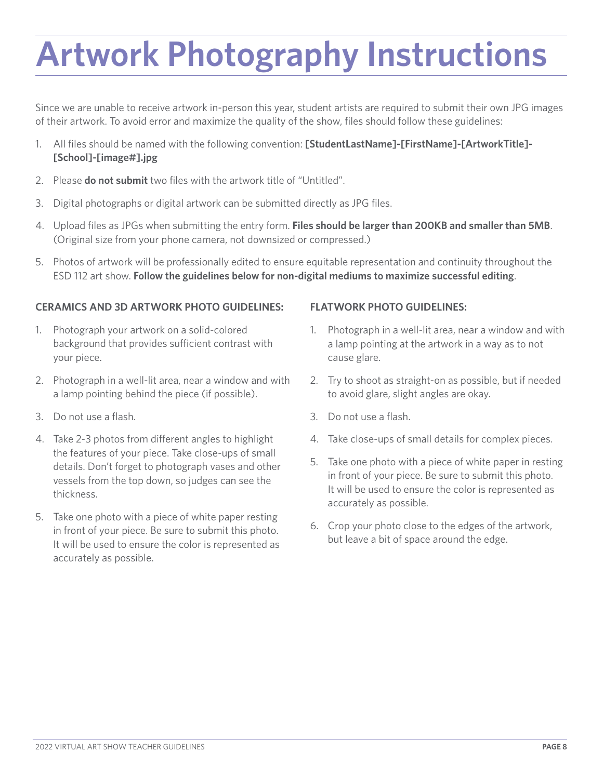### **Artwork Photography Instructions**

Since we are unable to receive artwork in-person this year, student artists are required to submit their own JPG images of their artwork. To avoid error and maximize the quality of the show, fles should follow these guidelines:

- 1. All fles should be named with the following convention: **[StudentLastName]-[FirstName]-[ArtworkTitle]- [School]-[image#].jpg**
- 2. Please **do not submit** two files with the artwork title of "Untitled".
- 3. Digital photographs or digital artwork can be submitted directly as JPG fles.
- 4. Upload fles as JPGs when submitting the entry form. **Files should be larger than 200KB and smaller than 5MB**. (Original size from your phone camera, not downsized or compressed.)
- 5. Photos of artwork will be professionally edited to ensure equitable representation and continuity throughout the ESD 112 art show. **Follow the guidelines below for non-digital mediums to maximize successful editing**.

#### **CERAMICS AND 3D ARTWORK PHOTO GUIDELINES: FLATWORK PHOTO GUIDELINES:**

- your piece. The cause glare.
- 2. Photograph in a well-lit area, near a window and with 2. Try to shoot as straight-on as possible, but if needed a lamp pointing behind the piece (if possible). to avoid glare, slight angles are okay.
- 
- 4. Take 2-3 photos from different angles to highlight 4. Take close-ups of small details for complex pieces. the features of your piece. Take close-ups of small<br>details. Don't forget to photograph vases and other<br>vessels from the top down, so judges can see the<br>thickness.<br>thickness.
- 5. Take one photo with a piece of white paper resting<br>in front of your piece. Be sure to submit this photo.<br>It will be used to ensure the color is represented as<br>but leave a bit of space around the edge. accurately as possible.

- 1. Photograph your artwork on a solid-colored 1. Photograph in a well-lit area, near a window and with background that provides sufficient contrast with a lamp pointing at the artwork in a way as to not
	-
- 3. Do not use a fash. 3. Do not use a fash.
	-
	- accurately as possible.
	-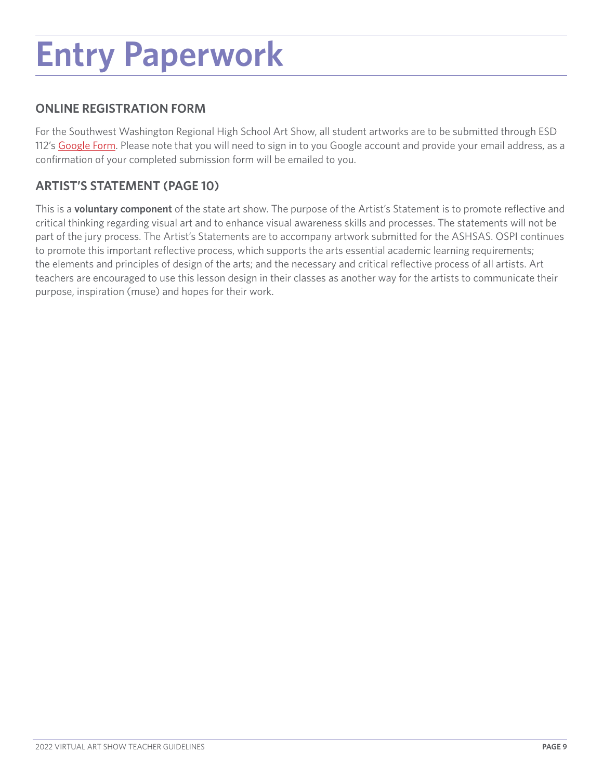### **Entry Paperwork**

### **ONLINE REGISTRATION FORM**

For the Southwest Washington Regional High School Art Show, all student artworks are to be submitted through ESD 112's [Google Form](https://docs.google.com/forms/d/e/1FAIpQLSeAhNrSdc0owWrILF7gWItoWA_yXybAz6GK8kunLO7M2cKxFA/viewform). Please note that you will need to sign in to you Google account and provide your email address, as a confrmation of your completed submission form will be emailed to you.

### **ARTIST'S STATEMENT (PAGE 10)**

This is a **voluntary component** of the state art show. The purpose of the Artist's Statement is to promote refective and critical thinking regarding visual art and to enhance visual awareness skills and processes. The statements will not be part of the jury process. The Artist's Statements are to accompany artwork submitted for the ASHSAS. OSPI continues to promote this important refective process, which supports the arts essential academic learning requirements; the elements and principles of design of the arts; and the necessary and critical refective process of all artists. Art teachers are encouraged to use this lesson design in their classes as another way for the artists to communicate their purpose, inspiration (muse) and hopes for their work.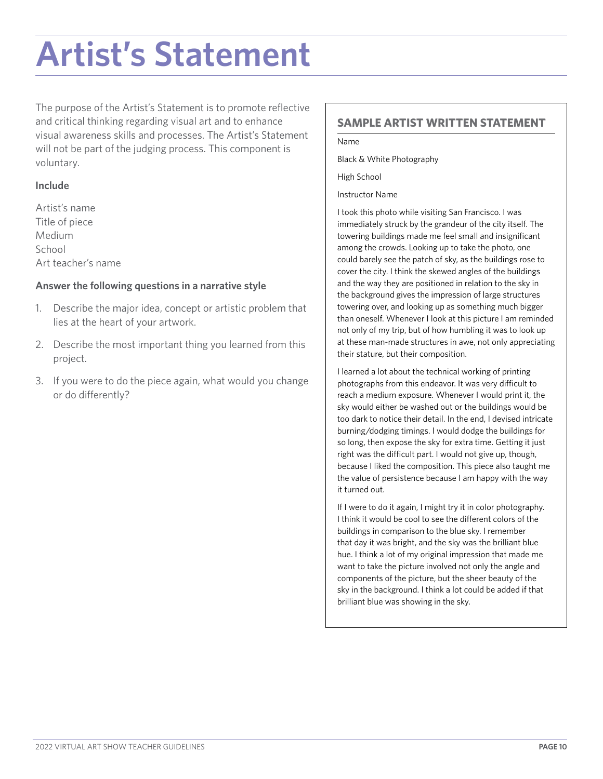### **Artist's Statement**

The purpose of the Artist's Statement is to promote refective and critical thinking regarding visual art and to enhance visual awareness skills and processes. The Artist's Statement will not be part of the judging process. This component is voluntary.

#### **Include**

Artist's name Title of piece Medium School Art teacher's name

#### **Answer the following questions in a narrative style**

- 1. Describe the major idea, concept or artistic problem that lies at the heart of your artwork.
- 2. Describe the most important thing you learned from this project.
- 3. If you were to do the piece again, what would you change or do diferently?

### **SAMPLE ARTIST WRITTEN STATEMENT**

Name

Black & White Photography

High School

Instructor Name

I took this photo while visiting San Francisco. I was immediately struck by the grandeur of the city itself. The towering buildings made me feel small and insignifcant among the crowds. Looking up to take the photo, one could barely see the patch of sky, as the buildings rose to cover the city. I think the skewed angles of the buildings and the way they are positioned in relation to the sky in the background gives the impression of large structures towering over, and looking up as something much bigger than oneself. Whenever I look at this picture I am reminded not only of my trip, but of how humbling it was to look up at these man-made structures in awe, not only appreciating their stature, but their composition.

I learned a lot about the technical working of printing photographs from this endeavor. It was very difficult to reach a medium exposure. Whenever I would print it, the sky would either be washed out or the buildings would be too dark to notice their detail. In the end, I devised intricate burning/dodging timings. I would dodge the buildings for so long, then expose the sky for extra time. Getting it just right was the difficult part. I would not give up, though, because I liked the composition. This piece also taught me the value of persistence because I am happy with the way it turned out.

If I were to do it again, I might try it in color photography. I think it would be cool to see the diferent colors of the buildings in comparison to the blue sky. I remember that day it was bright, and the sky was the brilliant blue hue. I think a lot of my original impression that made me want to take the picture involved not only the angle and components of the picture, but the sheer beauty of the sky in the background. I think a lot could be added if that brilliant blue was showing in the sky.